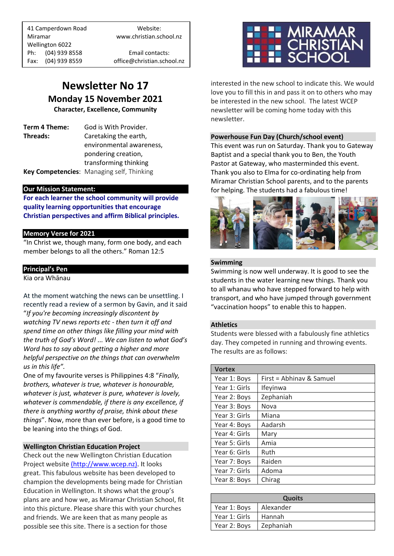41 Camperdown Road Website: Miramar www.christian.school.nz Wellington 6022 Ph: (04) 939 8558 Email contacts:

Fax: (04) 939 8559 office@christian.school.nz

### **Newsletter No 17 Monday 15 November 2021**

**Character, Excellence, Community**

**Term 4 Theme:** God is With Provider. **Threads:** Caretaking the earth,

environmental awareness, pondering creation, transforming thinking **Key Competencies**: Managing self, Thinking

#### **Our Mission Statement:**

**For each learner the school community will provide quality learning opportunities that encourage Christian perspectives and affirm Biblical principles***.*

#### **Memory Verse for 2021**

"In Christ we, though many, form one body, and each member belongs to all the others." Roman 12:5

#### **Principal's Pen**

Kia ora Whānau

At the moment watching the news can be unsettling. I recently read a review of a sermon by Gavin, and it said "*If you're becoming increasingly discontent by watching TV news reports etc - then turn it off and spend time on other things like filling your mind with the truth of God's Word! ... We can listen to what God's Word has to say about getting a higher and more helpful perspective on the things that can overwhelm us in this life".*

One of my favourite verses is Philippines 4:8 "*Finally, brothers, whatever is true, whatever is honourable, whatever is just, whatever is pure, whatever is lovely, whatever is commendable, if there is any excellence, if there is anything worthy of praise, think about these things*". Now, more than ever before, is a good time to be leaning into the things of God.

#### **Wellington Christian Education Project**

Check out the new Wellington Christian Education Project website [\(http://www.wcep.nz\).]((http:/www.wcep.nz)) It looks great. This fabulous website has been developed to champion the developments being made for Christian Education in Wellington. It shows what the group's plans are and how we, as Miramar Christian School, fit into this picture. Please share this with your churches and friends. We are keen that as many people as possible see this site. There is a section for those



interested in the new school to indicate this. We would love you to fill this in and pass it on to others who may be interested in the new school. The latest WCEP newsletter will be coming home today with this newsletter.

#### **Powerhouse Fun Day (Church/school event)**

This event was run on Saturday. Thank you to Gateway Baptist and a special thank you to Ben, the Youth Pastor at Gateway, who masterminded this event. Thank you also to Elma for co-ordinating help from Miramar Christian School parents, and to the parents for helping. The students had a fabulous time!



#### **Swimming**

Swimming is now well underway. It is good to see the students in the water learning new things. Thank you to all whanau who have stepped forward to help with transport, and who have jumped through government "vaccination hoops" to enable this to happen.

#### **Athletics**

Students were blessed with a fabulously fine athletics day. They competed in running and throwing events. The results are as follows:

| <b>Vortex</b> |                          |
|---------------|--------------------------|
| Year 1: Boys  | First = Abhinav & Samuel |
| Year 1: Girls | Ifeyinwa                 |
| Year 2: Boys  | Zephaniah                |
| Year 3: Boys  | Nova                     |
| Year 3: Girls | Miana                    |
| Year 4: Boys  | Aadarsh                  |
| Year 4: Girls | Mary                     |
| Year 5: Girls | Amia                     |
| Year 6: Girls | Ruth                     |
| Year 7: Boys  | Raiden                   |
| Year 7: Girls | Adoma                    |
| Year 8: Boys  | Chirag                   |

| <b>Quoits</b> |           |
|---------------|-----------|
| Year 1: Boys  | Alexander |
| Year 1: Girls | Hannah    |
| Year 2: Boys  | Zephaniah |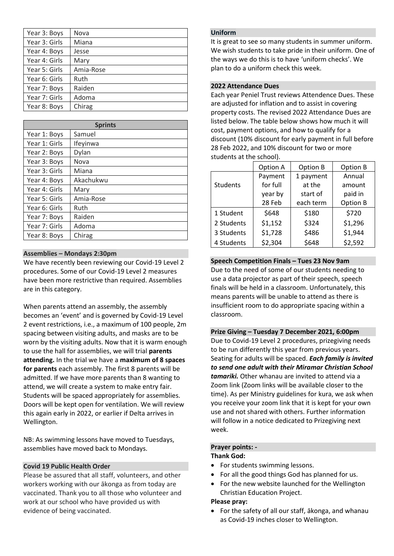| Year 3: Boys  | Nova      |
|---------------|-----------|
| Year 3: Girls | Miana     |
| Year 4: Boys  | Jesse     |
| Year 4: Girls | Mary      |
| Year 5: Girls | Amia-Rose |
| Year 6: Girls | Ruth      |
| Year 7: Boys  | Raiden    |
| Year 7: Girls | Adoma     |
| Year 8: Boys  | Chirag    |

| <b>Sprints</b> |           |  |
|----------------|-----------|--|
| Year 1: Boys   | Samuel    |  |
| Year 1: Girls  | Ifeyinwa  |  |
| Year 2: Boys   | Dylan     |  |
| Year 3: Boys   | Nova      |  |
| Year 3: Girls  | Miana     |  |
| Year 4: Boys   | Akachukwu |  |
| Year 4: Girls  | Mary      |  |
| Year 5: Girls  | Amia-Rose |  |
| Year 6: Girls  | Ruth      |  |
| Year 7: Boys   | Raiden    |  |
| Year 7: Girls  | Adoma     |  |
| Year 8: Boys   | Chirag    |  |

#### **Assemblies – Mondays 2:30pm**

We have recently been reviewing our Covid-19 Level 2 procedures. Some of our Covid-19 Level 2 measures have been more restrictive than required. Assemblies are in this category.

When parents attend an assembly, the assembly becomes an 'event' and is governed by Covid-19 Level 2 event restrictions, i.e., a maximum of 100 people, 2m spacing between visiting adults, and masks are to be worn by the visiting adults. Now that it is warm enough to use the hall for assemblies, we will trial **parents attending.** In the trial we have a **maximum of 8 spaces for parents** each assembly. The first 8 parents will be admitted. If we have more parents than 8 wanting to attend, we will create a system to make entry fair. Students will be spaced appropriately for assemblies. Doors will be kept open for ventilation. We will review this again early in 2022, or earlier if Delta arrives in Wellington.

NB: As swimming lessons have moved to Tuesdays, assemblies have moved back to Mondays.

#### **Covid 19 Public Health Order**

Please be assured that all staff, volunteers, and other workers working with our ākonga as from today are vaccinated. Thank you to all those who volunteer and work at our school who have provided us with evidence of being vaccinated.

#### **Uniform**

It is great to see so many students in summer uniform. We wish students to take pride in their uniform. One of the ways we do this is to have 'uniform checks'. We plan to do a uniform check this week.

#### **2022 Attendance Dues**

Each year Peniel Trust reviews Attendence Dues. These are adjusted for inflation and to assist in covering property costs. The revised 2022 Attendance Dues are listed below. The table below shows how much it will cost, payment options, and how to qualify for a discount (10% discount for early payment in full before 28 Feb 2022, and 10% discount for two or more students at the school).

|            | Option A | Option B  | Option B |
|------------|----------|-----------|----------|
|            | Payment  | 1 payment | Annual   |
| Students   | for full | at the    | amount   |
|            | year by  | start of  | paid in  |
|            | 28 Feb   | each term | Option B |
| 1 Student  | \$648    | \$180     | \$720    |
| 2 Students | \$1,152  | \$324     | \$1,296  |
| 3 Students | \$1,728  | \$486     | \$1,944  |
| 4 Students | \$2,304  | \$648     | \$2,592  |

#### **Speech Competition Finals – Tues 23 Nov 9am**

Due to the need of some of our students needing to use a data projector as part of their speech, speech finals will be held in a classroom. Unfortunately, this means parents will be unable to attend as there is insufficient room to do appropriate spacing within a classroom.

#### **Prize Giving – Tuesday 7 December 2021, 6:00pm**

Due to Covid-19 Level 2 procedures, prizegiving needs to be run differently this year from previous years. Seating for adults will be spaced. *Each family is invited to send one adult with their Miramar Christian School tamariki.* Other whanau are invited to attend via a Zoom link (Zoom links will be available closer to the time). As per Ministry guidelines for kura, we ask when you receive your zoom link that it is kept for your own use and not shared with others. Further information will follow in a notice dedicated to Prizegiving next week.

#### **Prayer points: - Thank God:**

#### • For students swimming lessons.

- For all the good things God has planned for us.
- For the new website launched for the Wellington Christian Education Project.

#### **Please pray:**

• For the safety of all our staff, ākonga, and whanau as Covid-19 inches closer to Wellington.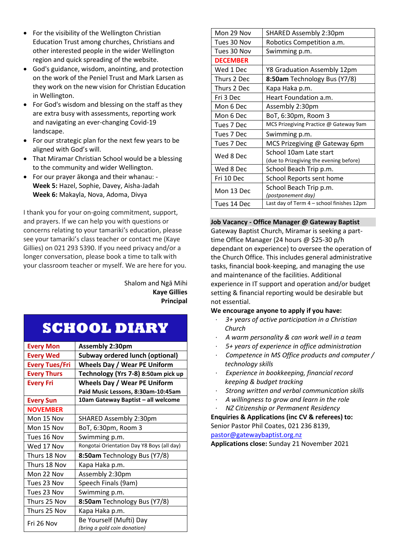- For the visibility of the Wellington Christian Education Trust among churches, Christians and other interested people in the wider Wellington region and quick spreading of the website.
- God's guidance, wisdom, anointing, and protection on the work of the Peniel Trust and Mark Larsen as they work on the new vision for Christian Education in Wellington.
- For God's wisdom and blessing on the staff as they are extra busy with assessments, reporting work and navigating an ever-changing Covid-19 landscape.
- For our strategic plan for the next few years to be aligned with God's will.
- That Miramar Christian School would be a blessing to the community and wider Wellington.
- For our prayer ākonga and their whanau: **Week 5:** Hazel, Sophie, Davey, Aisha-Jadah **Week 6:** Makayla, Nova, Adoma, Divya

I thank you for your on-going commitment, support, and prayers. If we can help you with questions or concerns relating to your tamariki's education, please see your tamariki's class teacher or contact me (Kaye Gillies) on 021 293 5390. If you need privacy and/or a longer conversation, please book a time to talk with your classroom teacher or myself. We are here for you.

#### Shalom and Ngā Mihi **Kaye Gillies Principal**

## **SCHOOL DIARY**

| <b>Every Mon</b>      | <b>Assembly 2:30pm</b>                     |  |
|-----------------------|--------------------------------------------|--|
| <b>Every Wed</b>      | <b>Subway ordered lunch (optional)</b>     |  |
| <b>Every Tues/Fri</b> | <b>Wheels Day / Wear PE Uniform</b>        |  |
| <b>Every Thurs</b>    | Technology (Yrs 7-8) 8:50am pick up        |  |
| <b>Every Fri</b>      | <b>Wheels Day / Wear PE Uniform</b>        |  |
|                       | Paid Music Lessons, 8:30am-10:45am         |  |
| <b>Every Sun</b>      | 10am Gateway Baptist - all welcome         |  |
| <b>NOVEMBER</b>       |                                            |  |
| Mon 15 Nov            | SHARED Assembly 2:30pm                     |  |
| Mon 15 Nov            | BoT, 6:30pm, Room 3                        |  |
| Tues 16 Nov           | Swimming p.m.                              |  |
| Wed 17 Nov            | Rongotai Orientation Day Y8 Boys (all day) |  |
| Thurs 18 Nov          | 8:50am Technology Bus (Y7/8)               |  |
| Thurs 18 Nov          | Kapa Haka p.m.                             |  |
| Mon 22 Nov            | Assembly 2:30pm                            |  |
| Tues 23 Nov           | Speech Finals (9am)                        |  |
| Tues 23 Nov           | Swimming p.m.                              |  |
| Thurs 25 Nov          | 8:50am Technology Bus (Y7/8)               |  |
| Thurs 25 Nov          | Kapa Haka p.m.                             |  |
| Fri 26 Nov            | Be Yourself (Mufti) Day                    |  |
|                       | (bring a gold coin donation)               |  |

| Mon 29 Nov      | SHARED Assembly 2:30pm                    |  |
|-----------------|-------------------------------------------|--|
| Tues 30 Nov     | Robotics Competition a.m.                 |  |
| Tues 30 Nov     | Swimming p.m.                             |  |
| <b>DECEMBER</b> |                                           |  |
| Wed 1 Dec       | Y8 Graduation Assembly 12pm               |  |
| Thurs 2 Dec     | 8:50am Technology Bus (Y7/8)              |  |
| Thurs 2 Dec     | Kapa Haka p.m.                            |  |
| Fri 3 Dec       | Heart Foundation a.m.                     |  |
| Mon 6 Dec       | Assembly 2:30pm                           |  |
| Mon 6 Dec       | BoT, 6:30pm, Room 3                       |  |
| Tues 7 Dec      | MCS Prizegiving Practice @ Gateway 9am    |  |
| Tues 7 Dec      | Swimming p.m.                             |  |
| Tues 7 Dec      | MCS Prizegiving @ Gateway 6pm             |  |
| Wed 8 Dec       | School 10am Late start                    |  |
|                 | (due to Prizegiving the evening before)   |  |
| Wed 8 Dec       | School Beach Trip p.m.                    |  |
| Fri 10 Dec      | School Reports sent home                  |  |
| Mon 13 Dec      | School Beach Trip p.m.                    |  |
|                 | (postponement day)                        |  |
| Tues 14 Dec     | Last day of Term 4 - school finishes 12pm |  |

#### **Job Vacancy - Office Manager @ Gateway Baptist**

Gateway Baptist Church, Miramar is seeking a parttime Office Manager (24 hours @ \$25-30 p/h dependant on experience) to oversee the operation of the Church Office. This includes general administrative tasks, financial book-keeping, and managing the use and maintenance of the facilities. Additional experience in IT support and operation and/or budget setting & financial reporting would be desirable but not essential.

#### **We encourage anyone to apply if you have:**

- · *3+ years of active participation in a Christian Church*
- · *A warm personality & can work well in a team*
- · *5+ years of experience in office administration*
- · *Competence in MS Office products and computer / technology skills*
- · *Experience in bookkeeping, financial record keeping & budget tracking*
- · *Strong written and verbal communication skills*
- · *A willingness to grow and learn in the role*
- · *NZ Citizenship or Permanent Residency*

**Enquiries & Applications (inc CV & referees) to:** Senior Pastor Phil Coates, 021 236 8139, [pastor@gatewaybaptist.org.nz](mailto:pastor@gatewaybaptist.org.nz)

**Applications close:** Sunday 21 November 2021